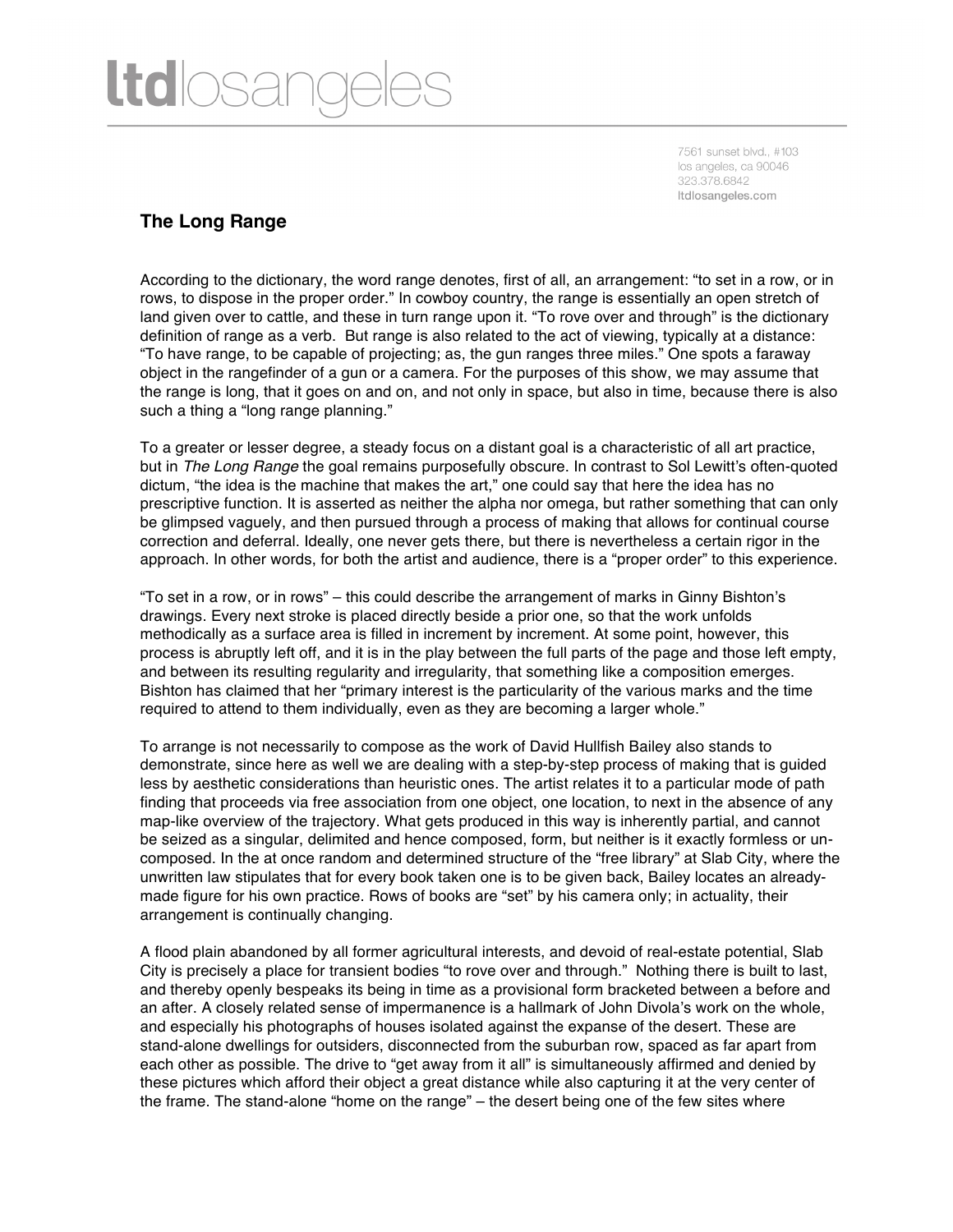## **ltd**losar

7561 sunset blvd., #103 los angeles, ca 90046 323.378.6842 Itdlosangeles.com

## **The Long Range**

According to the dictionary, the word range denotes, first of all, an arrangement: "to set in a row, or in rows, to dispose in the proper order." In cowboy country, the range is essentially an open stretch of land given over to cattle, and these in turn range upon it. "To rove over and through" is the dictionary definition of range as a verb. But range is also related to the act of viewing, typically at a distance: "To have range, to be capable of projecting; as, the gun ranges three miles." One spots a faraway object in the rangefinder of a gun or a camera. For the purposes of this show, we may assume that the range is long, that it goes on and on, and not only in space, but also in time, because there is also such a thing a "long range planning."

To a greater or lesser degree, a steady focus on a distant goal is a characteristic of all art practice, but in *The Long Range* the goal remains purposefully obscure. In contrast to Sol Lewitt's often-quoted dictum, "the idea is the machine that makes the art," one could say that here the idea has no prescriptive function. It is asserted as neither the alpha nor omega, but rather something that can only be glimpsed vaguely, and then pursued through a process of making that allows for continual course correction and deferral. Ideally, one never gets there, but there is nevertheless a certain rigor in the approach. In other words, for both the artist and audience, there is a "proper order" to this experience.

"To set in a row, or in rows" – this could describe the arrangement of marks in Ginny Bishton's drawings. Every next stroke is placed directly beside a prior one, so that the work unfolds methodically as a surface area is filled in increment by increment. At some point, however, this process is abruptly left off, and it is in the play between the full parts of the page and those left empty, and between its resulting regularity and irregularity, that something like a composition emerges. Bishton has claimed that her "primary interest is the particularity of the various marks and the time required to attend to them individually, even as they are becoming a larger whole."

To arrange is not necessarily to compose as the work of David Hullfish Bailey also stands to demonstrate, since here as well we are dealing with a step-by-step process of making that is guided less by aesthetic considerations than heuristic ones. The artist relates it to a particular mode of path finding that proceeds via free association from one object, one location, to next in the absence of any map-like overview of the trajectory. What gets produced in this way is inherently partial, and cannot be seized as a singular, delimited and hence composed, form, but neither is it exactly formless or uncomposed. In the at once random and determined structure of the "free library" at Slab City, where the unwritten law stipulates that for every book taken one is to be given back, Bailey locates an alreadymade figure for his own practice. Rows of books are "set" by his camera only; in actuality, their arrangement is continually changing.

A flood plain abandoned by all former agricultural interests, and devoid of real-estate potential, Slab City is precisely a place for transient bodies "to rove over and through." Nothing there is built to last, and thereby openly bespeaks its being in time as a provisional form bracketed between a before and an after. A closely related sense of impermanence is a hallmark of John Divola's work on the whole, and especially his photographs of houses isolated against the expanse of the desert. These are stand-alone dwellings for outsiders, disconnected from the suburban row, spaced as far apart from each other as possible. The drive to "get away from it all" is simultaneously affirmed and denied by these pictures which afford their object a great distance while also capturing it at the very center of the frame. The stand-alone "home on the range" – the desert being one of the few sites where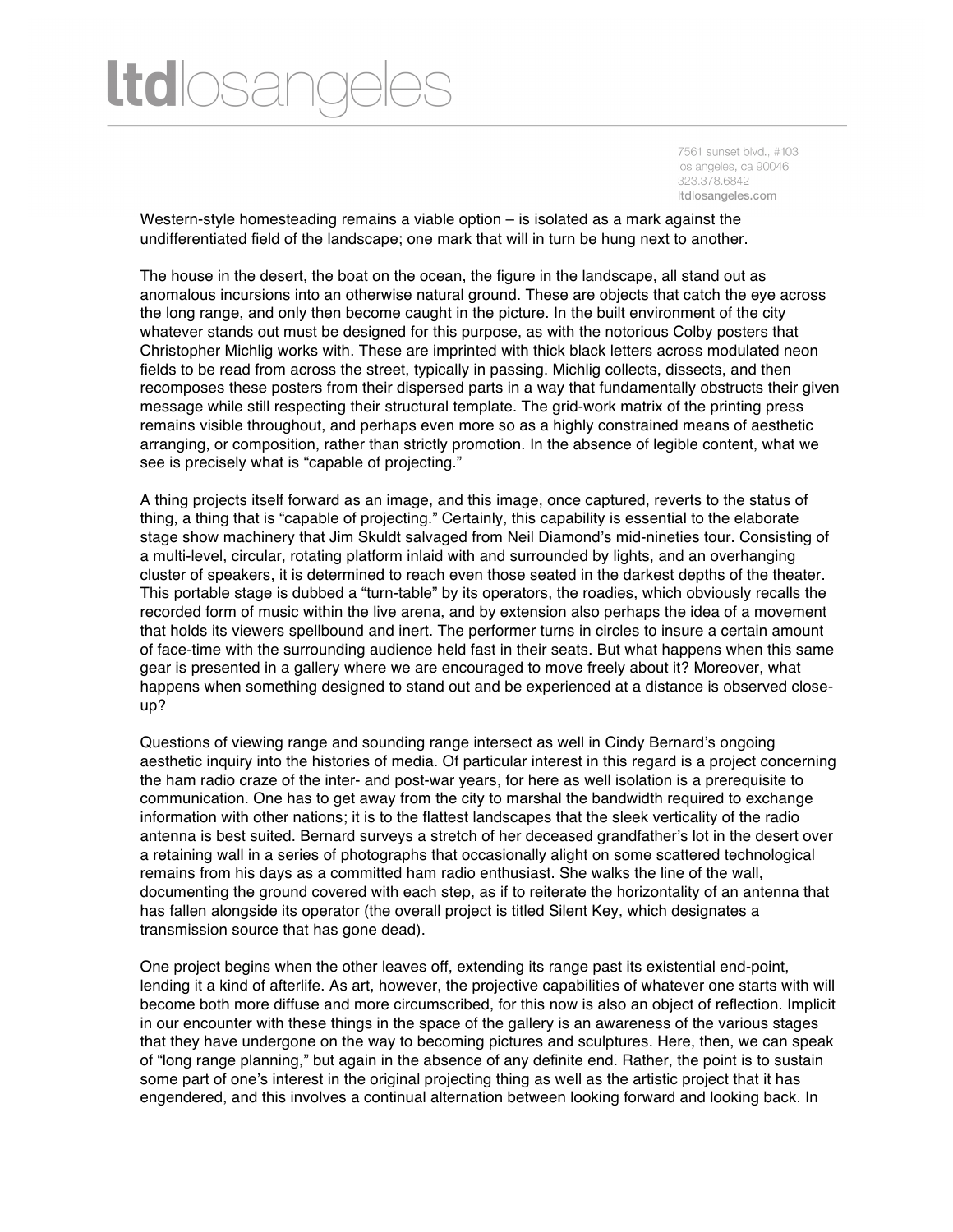## **ltd**losar

7561 sunset blvd., #103 los angeles, ca 90046 323.378.6842 Itdlosangeles.com

Western-style homesteading remains a viable option – is isolated as a mark against the undifferentiated field of the landscape; one mark that will in turn be hung next to another.

The house in the desert, the boat on the ocean, the figure in the landscape, all stand out as anomalous incursions into an otherwise natural ground. These are objects that catch the eye across the long range, and only then become caught in the picture. In the built environment of the city whatever stands out must be designed for this purpose, as with the notorious Colby posters that Christopher Michlig works with. These are imprinted with thick black letters across modulated neon fields to be read from across the street, typically in passing. Michlig collects, dissects, and then recomposes these posters from their dispersed parts in a way that fundamentally obstructs their given message while still respecting their structural template. The grid-work matrix of the printing press remains visible throughout, and perhaps even more so as a highly constrained means of aesthetic arranging, or composition, rather than strictly promotion. In the absence of legible content, what we see is precisely what is "capable of projecting."

A thing projects itself forward as an image, and this image, once captured, reverts to the status of thing, a thing that is "capable of projecting." Certainly, this capability is essential to the elaborate stage show machinery that Jim Skuldt salvaged from Neil Diamond's mid-nineties tour. Consisting of a multi-level, circular, rotating platform inlaid with and surrounded by lights, and an overhanging cluster of speakers, it is determined to reach even those seated in the darkest depths of the theater. This portable stage is dubbed a "turn-table" by its operators, the roadies, which obviously recalls the recorded form of music within the live arena, and by extension also perhaps the idea of a movement that holds its viewers spellbound and inert. The performer turns in circles to insure a certain amount of face-time with the surrounding audience held fast in their seats. But what happens when this same gear is presented in a gallery where we are encouraged to move freely about it? Moreover, what happens when something designed to stand out and be experienced at a distance is observed closeup?

Questions of viewing range and sounding range intersect as well in Cindy Bernard's ongoing aesthetic inquiry into the histories of media. Of particular interest in this regard is a project concerning the ham radio craze of the inter- and post-war years, for here as well isolation is a prerequisite to communication. One has to get away from the city to marshal the bandwidth required to exchange information with other nations; it is to the flattest landscapes that the sleek verticality of the radio antenna is best suited. Bernard surveys a stretch of her deceased grandfather's lot in the desert over a retaining wall in a series of photographs that occasionally alight on some scattered technological remains from his days as a committed ham radio enthusiast. She walks the line of the wall, documenting the ground covered with each step, as if to reiterate the horizontality of an antenna that has fallen alongside its operator (the overall project is titled Silent Key, which designates a transmission source that has gone dead).

One project begins when the other leaves off, extending its range past its existential end-point, lending it a kind of afterlife. As art, however, the projective capabilities of whatever one starts with will become both more diffuse and more circumscribed, for this now is also an object of reflection. Implicit in our encounter with these things in the space of the gallery is an awareness of the various stages that they have undergone on the way to becoming pictures and sculptures. Here, then, we can speak of "long range planning," but again in the absence of any definite end. Rather, the point is to sustain some part of one's interest in the original projecting thing as well as the artistic project that it has engendered, and this involves a continual alternation between looking forward and looking back. In